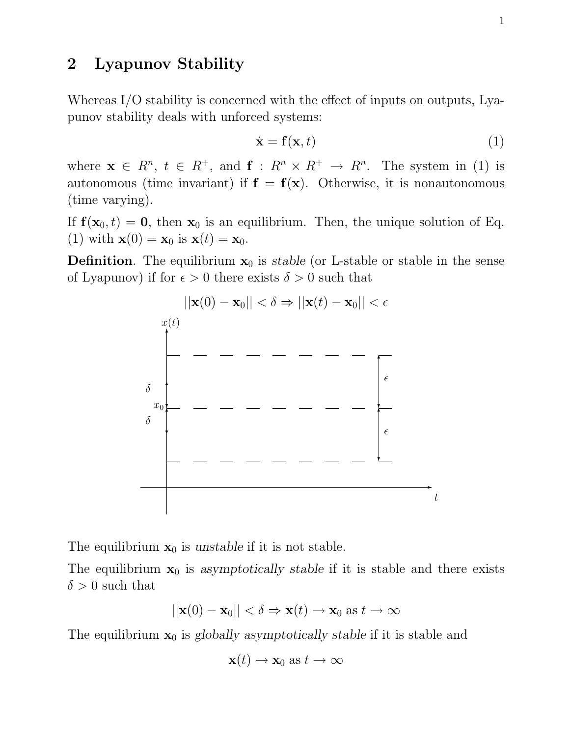# 2 Lyapunov Stability

Whereas I/O stability is concerned with the effect of inputs on outputs, Lyapunov stability deals with unforced systems:

$$
\dot{\mathbf{x}} = \mathbf{f}(\mathbf{x}, t) \tag{1}
$$

where  $\mathbf{x} \in R^n$ ,  $t \in R^+$ , and  $\mathbf{f}: R^n \times R^+ \to R^n$ . The system in (1) is autonomous (time invariant) if  $f = f(x)$ . Otherwise, it is nonautonomous (time varying).

If  $f(\mathbf{x}_0, t) = \mathbf{0}$ , then  $\mathbf{x}_0$  is an equilibrium. Then, the unique solution of Eq. (1) with  $\mathbf{x}(0) = \mathbf{x}_0$  is  $\mathbf{x}(t) = \mathbf{x}_0$ .

**Definition**. The equilibrium  $x_0$  is stable (or L-stable or stable in the sense of Lyapunov) if for  $\epsilon > 0$  there exists  $\delta > 0$  such that



The equilibrium  $x_0$  is unstable if it is not stable.

The equilibrium  $x_0$  is asymptotically stable if it is stable and there exists  $\delta > 0$  such that

$$
||\mathbf{x}(0) - \mathbf{x}_0|| < \delta \Rightarrow \mathbf{x}(t) \to \mathbf{x}_0 \text{ as } t \to \infty
$$

The equilibrium  $x_0$  is globally asymptotically stable if it is stable and

$$
\mathbf{x}(t) \to \mathbf{x}_0 \text{ as } t \to \infty
$$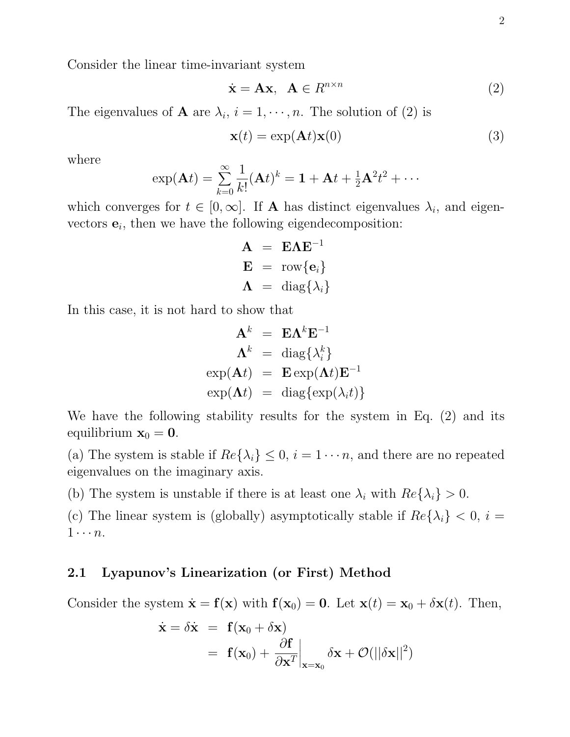Consider the linear time-invariant system

$$
\dot{\mathbf{x}} = \mathbf{A}\mathbf{x}, \ \ \mathbf{A} \in R^{n \times n} \tag{2}
$$

The eigenvalues of **A** are  $\lambda_i$ ,  $i = 1, \dots, n$ . The solution of (2) is

$$
\mathbf{x}(t) = \exp(\mathbf{A}t)\mathbf{x}(0) \tag{3}
$$

where

$$
\exp(\mathbf{A}t)=\sum_{k=0}^{\infty}\frac{1}{k!}(\mathbf{A}t)^k=\mathbf{1}+\mathbf{A}t+\frac{1}{2}\mathbf{A}^2t^2+\cdots
$$

which converges for  $t \in [0, \infty]$ . If **A** has distinct eigenvalues  $\lambda_i$ , and eigenvectors  $e_i$ , then we have the following eigendecomposition:

> $A = E\Lambda E^{-1}$  $\mathbf{E} = \text{row}\{\mathbf{e}_i\}$  $\Lambda = \text{diag}\{\lambda_i\}$

In this case, it is not hard to show that

$$
\mathbf{A}^{k} = \mathbf{E} \mathbf{\Lambda}^{k} \mathbf{E}^{-1}
$$

$$
\mathbf{\Lambda}^{k} = \text{diag}\{\lambda_{i}^{k}\}
$$

$$
\exp(\mathbf{A}t) = \mathbf{E} \exp(\mathbf{\Lambda}t) \mathbf{E}^{-1}
$$

$$
\exp(\mathbf{\Lambda}t) = \text{diag}\{\exp(\lambda_{i}t)\}
$$

We have the following stability results for the system in Eq. (2) and its equilibrium  $\mathbf{x}_0 = \mathbf{0}$ .

(a) The system is stable if  $Re\{\lambda_i\} \leq 0$ ,  $i = 1 \cdots n$ , and there are no repeated eigenvalues on the imaginary axis.

(b) The system is unstable if there is at least one  $\lambda_i$  with  $Re\{\lambda_i\} > 0$ .

(c) The linear system is (globally) asymptotically stable if  $Re\{\lambda_i\} < 0$ ,  $i =$  $1 \cdots n$ .

#### 2.1 Lyapunov's Linearization (or First) Method

Consider the system  $\dot{\mathbf{x}} = \mathbf{f}(\mathbf{x})$  with  $\mathbf{f}(\mathbf{x}_0) = \mathbf{0}$ . Let  $\mathbf{x}(t) = \mathbf{x}_0 + \delta \mathbf{x}(t)$ . Then,

$$
\dot{\mathbf{x}} = \delta \dot{\mathbf{x}} = \mathbf{f}(\mathbf{x}_0 + \delta \mathbf{x})
$$
  
=  $\mathbf{f}(\mathbf{x}_0) + \frac{\partial \mathbf{f}}{\partial \mathbf{x}^T}\Big|_{\mathbf{x} = \mathbf{x}_0} \delta \mathbf{x} + \mathcal{O}(||\delta \mathbf{x}||^2)$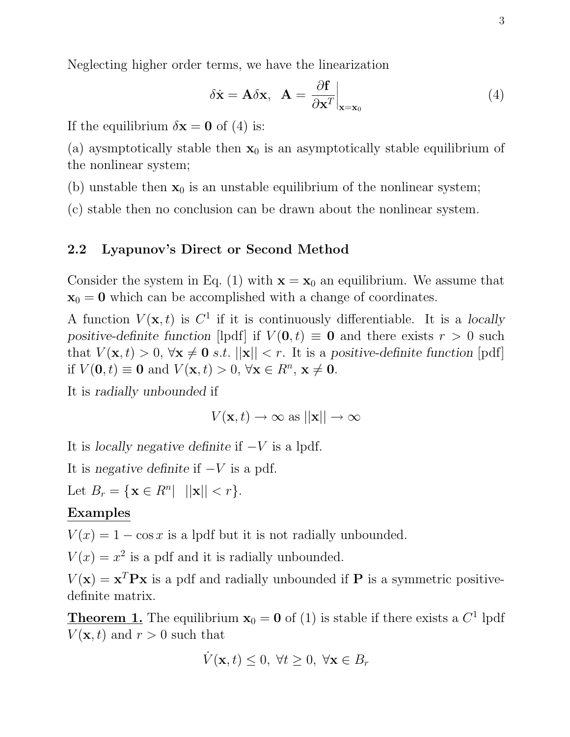Neglecting higher order terms, we have the linearization

$$
\delta \dot{\mathbf{x}} = \mathbf{A} \delta \mathbf{x}, \quad \mathbf{A} = \frac{\partial \mathbf{f}}{\partial \mathbf{x}^T} \Big|_{\mathbf{x} = \mathbf{x}_0} \tag{4}
$$

If the equilibrium  $\delta x = 0$  of (4) is:

(a) ayamptotically stable then  $x_0$  is an asymptotically stable equilibrium of the nonlinear system;

(b) unstable then  $x_0$  is an unstable equilibrium of the nonlinear system;

(c) stable then no conclusion can be drawn about the nonlinear system.

# 2.2 Lyapunov's Direct or Second Method

Consider the system in Eq. (1) with  $\mathbf{x} = \mathbf{x}_0$  an equilibrium. We assume that  $x_0 = 0$  which can be accomplished with a change of coordinates.

A function  $V(\mathbf{x},t)$  is  $C^1$  if it is continuously differentiable. It is a locally positive-definite function [lpdf] if  $V(0, t) \equiv 0$  and there exists  $r > 0$  such that  $V(\mathbf{x}, t) > 0$ ,  $\forall \mathbf{x} \neq \mathbf{0}$  s.t.  $||\mathbf{x}|| < r$ . It is a positive-definite function [pdf] if  $V(\mathbf{0}, t) \equiv \mathbf{0}$  and  $V(\mathbf{x}, t) > 0, \forall \mathbf{x} \in R^n, \mathbf{x} \neq \mathbf{0}$ .

It is radially unbounded if

 $V(\mathbf{x}, t) \to \infty$  as  $||\mathbf{x}|| \to \infty$ 

It is *locally negative definite* if  $-V$  is a lpdf.

It is negative definite if  $-V$  is a pdf.

Let  $B_r = \{ \mathbf{x} \in R^n | ||\mathbf{x}|| < r \}.$ 

### Examples

 $V(x) = 1 - \cos x$  is a lpdf but it is not radially unbounded.

 $V(x) = x^2$  is a pdf and it is radially unbounded.

 $V(\mathbf{x}) = \mathbf{x}^T \mathbf{P} \mathbf{x}$  is a pdf and radially unbounded if **P** is a symmetric positivedefinite matrix.

**Theorem 1.** The equilibrium  $\mathbf{x}_0 = \mathbf{0}$  of (1) is stable if there exists a  $C^1$  lpdf  $V(\mathbf{x}, t)$  and  $r > 0$  such that

$$
\dot{V}(\mathbf{x},t) \le 0, \ \forall t \ge 0, \ \forall \mathbf{x} \in B_r
$$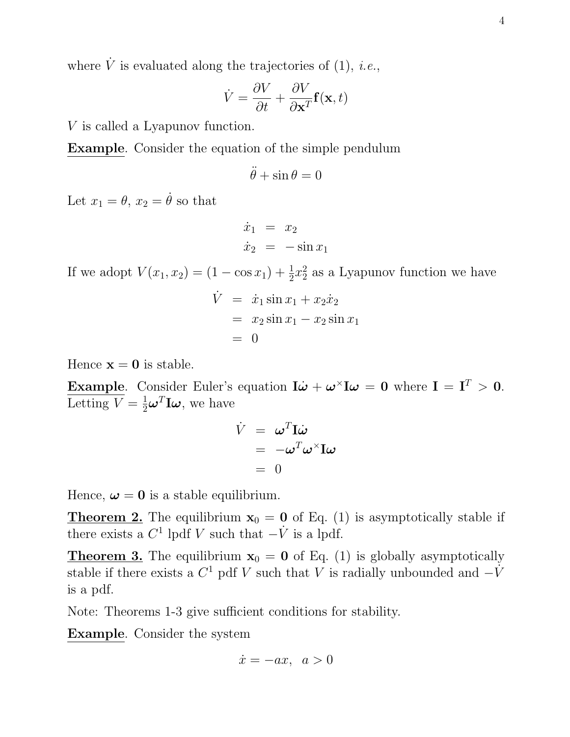where  $\dot{V}$  is evaluated along the trajectories of (1), *i.e.*,

$$
\dot{V} = \frac{\partial V}{\partial t} + \frac{\partial V}{\partial \mathbf{x}^T} \mathbf{f}(\mathbf{x}, t)
$$

V is called a Lyapunov function.

Example. Consider the equation of the simple pendulum

$$
\ddot{\theta} + \sin \theta = 0
$$

Let  $x_1 = \theta$ ,  $x_2 = \dot{\theta}$  so that

$$
\begin{array}{rcl}\n\dot{x}_1 &=& x_2 \\
\dot{x}_2 &=& -\sin x_1\n\end{array}
$$

If we adopt  $V(x_1, x_2) = (1 - \cos x_1) + \frac{1}{2}x_2^2$  $\frac{2}{2}$  as a Lyapunov function we have

$$
\dot{V} = \dot{x}_1 \sin x_1 + x_2 \dot{x}_2
$$
  
=  $x_2 \sin x_1 - x_2 \sin x_1$   
= 0

Hence  $\mathbf{x} = \mathbf{0}$  is stable.

**Example.** Consider Euler's equation  $\mathbf{I}\dot{\boldsymbol{\omega}} + \boldsymbol{\omega}^{\times}\mathbf{I}\boldsymbol{\omega} = \mathbf{0}$  where  $\mathbf{I} = \mathbf{I}^T > \mathbf{0}$ . Letting  $V = \frac{1}{2}\boldsymbol{\omega}^T \mathbf{I} \boldsymbol{\omega}$ , we have

$$
\dot{V} = \omega^T \mathbf{I} \dot{\omega} \n= -\omega^T \omega^{\times} \mathbf{I} \omega \n= 0
$$

Hence,  $\omega = 0$  is a stable equilibrium.

**Theorem 2.** The equilibrium  $x_0 = 0$  of Eq. (1) is asymptotically stable if there exists a  $C^1$  lpdf V such that  $-\dot{V}$  is a lpdf.

**Theorem 3.** The equilibrium  $x_0 = 0$  of Eq. (1) is globally asymptotically stable if there exists a  $C^1$  pdf V such that V is radially unbounded and  $-\dot{V}$ is a pdf.

Note: Theorems 1-3 give sufficient conditions for stability.

Example. Consider the system

$$
\dot{x} = -ax, \ a > 0
$$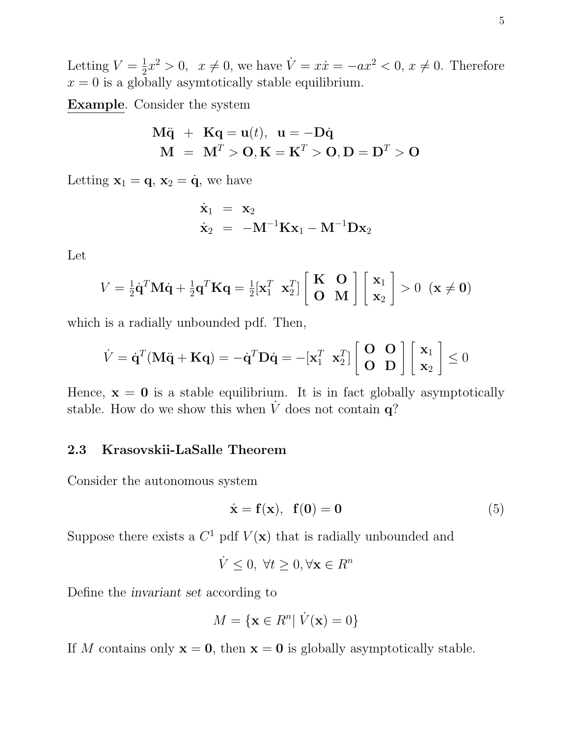Letting  $V=\frac{1}{2}$  $\frac{1}{2}x^2 > 0$ ,  $x \neq 0$ , we have  $\dot{V} = x\dot{x} = -ax^2 < 0$ ,  $x \neq 0$ . Therefore  $x = 0$  is a globally asymtotically stable equilibrium.

Example. Consider the system

$$
M\ddot{q} + Kq = u(t), u = -D\dot{q}
$$
  

$$
M = MT > 0, K = KT > 0, D = DT > 0
$$

Letting  $\mathbf{x}_1 = \mathbf{q}, \mathbf{x}_2 = \dot{\mathbf{q}},$  we have

$$
\begin{array}{rcl}\n\dot{\mathbf{x}}_1 &=& \mathbf{x}_2 \\
\dot{\mathbf{x}}_2 &=& -\mathbf{M}^{-1}\mathbf{K}\mathbf{x}_1 - \mathbf{M}^{-1}\mathbf{D}\mathbf{x}_2\n\end{array}
$$

Let

$$
V = \frac{1}{2}\dot{\mathbf{q}}^T \mathbf{M} \dot{\mathbf{q}} + \frac{1}{2}\mathbf{q}^T \mathbf{K} \mathbf{q} = \frac{1}{2} [\mathbf{x}_1^T \ \mathbf{x}_2^T] \begin{bmatrix} \mathbf{K} & \mathbf{O} \\ \mathbf{O} & \mathbf{M} \end{bmatrix} \begin{bmatrix} \mathbf{x}_1 \\ \mathbf{x}_2 \end{bmatrix} > 0 \ \ (\mathbf{x} \neq \mathbf{0})
$$

which is a radially unbounded pdf. Then,

$$
\dot{V} = \dot{\mathbf{q}}^T (\mathbf{M}\ddot{\mathbf{q}} + \mathbf{K}\mathbf{q}) = -\dot{\mathbf{q}}^T \mathbf{D}\dot{\mathbf{q}} = -[\mathbf{x}_1^T \ \mathbf{x}_2^T] \begin{bmatrix} \mathbf{O} & \mathbf{O} \\ \mathbf{O} & \mathbf{D} \end{bmatrix} \begin{bmatrix} \mathbf{x}_1 \\ \mathbf{x}_2 \end{bmatrix} \le 0
$$

Hence,  $x = 0$  is a stable equilibrium. It is in fact globally asymptotically stable. How do we show this when  $\dot{V}$  does not contain  $q$ ?

## 2.3 Krasovskii-LaSalle Theorem

Consider the autonomous system

$$
\dot{\mathbf{x}} = \mathbf{f}(\mathbf{x}), \ \mathbf{f}(\mathbf{0}) = \mathbf{0} \tag{5}
$$

Suppose there exists a  $C^1$  pdf  $V(\mathbf{x})$  that is radially unbounded and

$$
\dot{V} \leq 0, \ \forall t \geq 0, \forall \mathbf{x} \in R^n
$$

Define the invariant set according to

$$
M = \{ \mathbf{x} \in R^n | \dot{V}(\mathbf{x}) = 0 \}
$$

If M contains only  $x = 0$ , then  $x = 0$  is globally asymptotically stable.